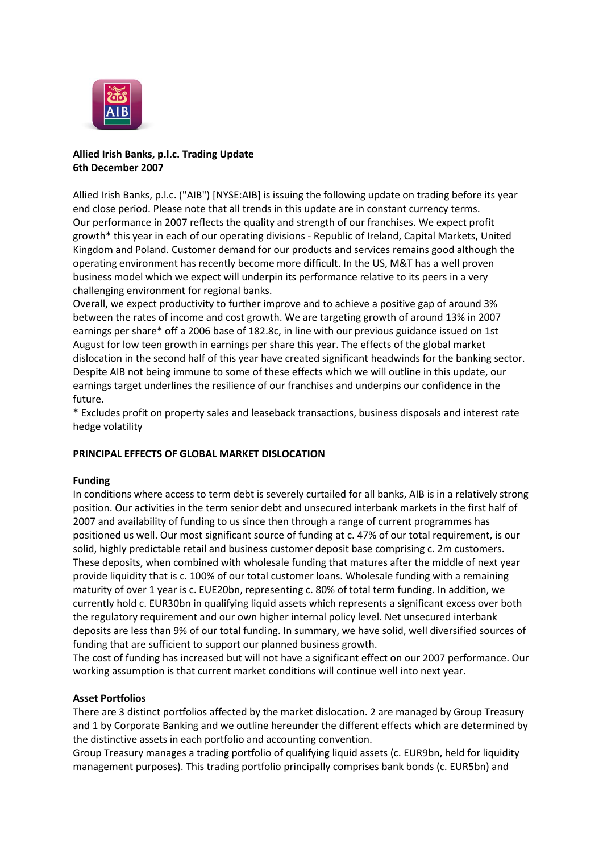

# **Allied Irish Banks, p.l.c. Trading Update 6th December 2007**

Allied Irish Banks, p.l.c. ("AIB") [NYSE:AIB] is issuing the following update on trading before its year end close period. Please note that all trends in this update are in constant currency terms. Our performance in 2007 reflects the quality and strength of our franchises. We expect profit growth\* this year in each of our operating divisions - Republic of Ireland, Capital Markets, United Kingdom and Poland. Customer demand for our products and services remains good although the operating environment has recently become more difficult. In the US, M&T has a well proven business model which we expect will underpin its performance relative to its peers in a very challenging environment for regional banks.

Overall, we expect productivity to further improve and to achieve a positive gap of around 3% between the rates of income and cost growth. We are targeting growth of around 13% in 2007 earnings per share\* off a 2006 base of 182.8c, in line with our previous guidance issued on 1st August for low teen growth in earnings per share this year. The effects of the global market dislocation in the second half of this year have created significant headwinds for the banking sector. Despite AIB not being immune to some of these effects which we will outline in this update, our earnings target underlines the resilience of our franchises and underpins our confidence in the future.

\* Excludes profit on property sales and leaseback transactions, business disposals and interest rate hedge volatility

## **PRINCIPAL EFFECTS OF GLOBAL MARKET DISLOCATION**

## **Funding**

In conditions where access to term debt is severely curtailed for all banks, AIB is in a relatively strong position. Our activities in the term senior debt and unsecured interbank markets in the first half of 2007 and availability of funding to us since then through a range of current programmes has positioned us well. Our most significant source of funding at c. 47% of our total requirement, is our solid, highly predictable retail and business customer deposit base comprising c. 2m customers. These deposits, when combined with wholesale funding that matures after the middle of next year provide liquidity that is c. 100% of our total customer loans. Wholesale funding with a remaining maturity of over 1 year is c. EUE20bn, representing c. 80% of total term funding. In addition, we currently hold c. EUR30bn in qualifying liquid assets which represents a significant excess over both the regulatory requirement and our own higher internal policy level. Net unsecured interbank deposits are less than 9% of our total funding. In summary, we have solid, well diversified sources of funding that are sufficient to support our planned business growth.

The cost of funding has increased but will not have a significant effect on our 2007 performance. Our working assumption is that current market conditions will continue well into next year.

## **Asset Portfolios**

There are 3 distinct portfolios affected by the market dislocation. 2 are managed by Group Treasury and 1 by Corporate Banking and we outline hereunder the different effects which are determined by the distinctive assets in each portfolio and accounting convention.

Group Treasury manages a trading portfolio of qualifying liquid assets (c. EUR9bn, held for liquidity management purposes). This trading portfolio principally comprises bank bonds (c. EUR5bn) and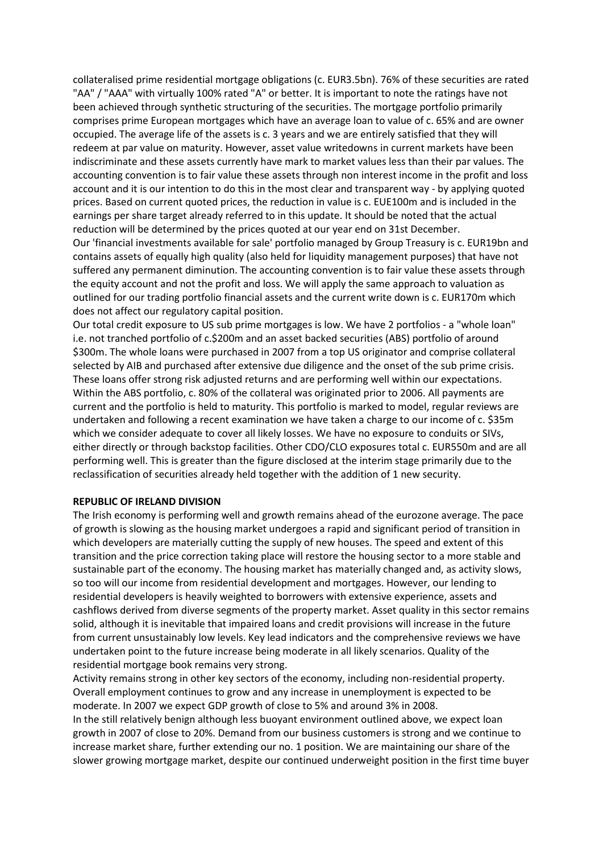collateralised prime residential mortgage obligations (c. EUR3.5bn). 76% of these securities are rated "AA" / "AAA" with virtually 100% rated "A" or better. It is important to note the ratings have not been achieved through synthetic structuring of the securities. The mortgage portfolio primarily comprises prime European mortgages which have an average loan to value of c. 65% and are owner occupied. The average life of the assets is c. 3 years and we are entirely satisfied that they will redeem at par value on maturity. However, asset value writedowns in current markets have been indiscriminate and these assets currently have mark to market values less than their par values. The accounting convention is to fair value these assets through non interest income in the profit and loss account and it is our intention to do this in the most clear and transparent way - by applying quoted prices. Based on current quoted prices, the reduction in value is c. EUE100m and is included in the earnings per share target already referred to in this update. It should be noted that the actual reduction will be determined by the prices quoted at our year end on 31st December. Our 'financial investments available for sale' portfolio managed by Group Treasury is c. EUR19bn and

contains assets of equally high quality (also held for liquidity management purposes) that have not suffered any permanent diminution. The accounting convention is to fair value these assets through the equity account and not the profit and loss. We will apply the same approach to valuation as outlined for our trading portfolio financial assets and the current write down is c. EUR170m which does not affect our regulatory capital position.

Our total credit exposure to US sub prime mortgages is low. We have 2 portfolios - a "whole loan" i.e. not tranched portfolio of c.\$200m and an asset backed securities (ABS) portfolio of around \$300m. The whole loans were purchased in 2007 from a top US originator and comprise collateral selected by AIB and purchased after extensive due diligence and the onset of the sub prime crisis. These loans offer strong risk adjusted returns and are performing well within our expectations. Within the ABS portfolio, c. 80% of the collateral was originated prior to 2006. All payments are current and the portfolio is held to maturity. This portfolio is marked to model, regular reviews are undertaken and following a recent examination we have taken a charge to our income of c. \$35m which we consider adequate to cover all likely losses. We have no exposure to conduits or SIVs, either directly or through backstop facilities. Other CDO/CLO exposures total c. EUR550m and are all performing well. This is greater than the figure disclosed at the interim stage primarily due to the reclassification of securities already held together with the addition of 1 new security.

### **REPUBLIC OF IRELAND DIVISION**

The Irish economy is performing well and growth remains ahead of the eurozone average. The pace of growth is slowing as the housing market undergoes a rapid and significant period of transition in which developers are materially cutting the supply of new houses. The speed and extent of this transition and the price correction taking place will restore the housing sector to a more stable and sustainable part of the economy. The housing market has materially changed and, as activity slows, so too will our income from residential development and mortgages. However, our lending to residential developers is heavily weighted to borrowers with extensive experience, assets and cashflows derived from diverse segments of the property market. Asset quality in this sector remains solid, although it is inevitable that impaired loans and credit provisions will increase in the future from current unsustainably low levels. Key lead indicators and the comprehensive reviews we have undertaken point to the future increase being moderate in all likely scenarios. Quality of the residential mortgage book remains very strong.

Activity remains strong in other key sectors of the economy, including non-residential property. Overall employment continues to grow and any increase in unemployment is expected to be moderate. In 2007 we expect GDP growth of close to 5% and around 3% in 2008. In the still relatively benign although less buoyant environment outlined above, we expect loan growth in 2007 of close to 20%. Demand from our business customers is strong and we continue to increase market share, further extending our no. 1 position. We are maintaining our share of the slower growing mortgage market, despite our continued underweight position in the first time buyer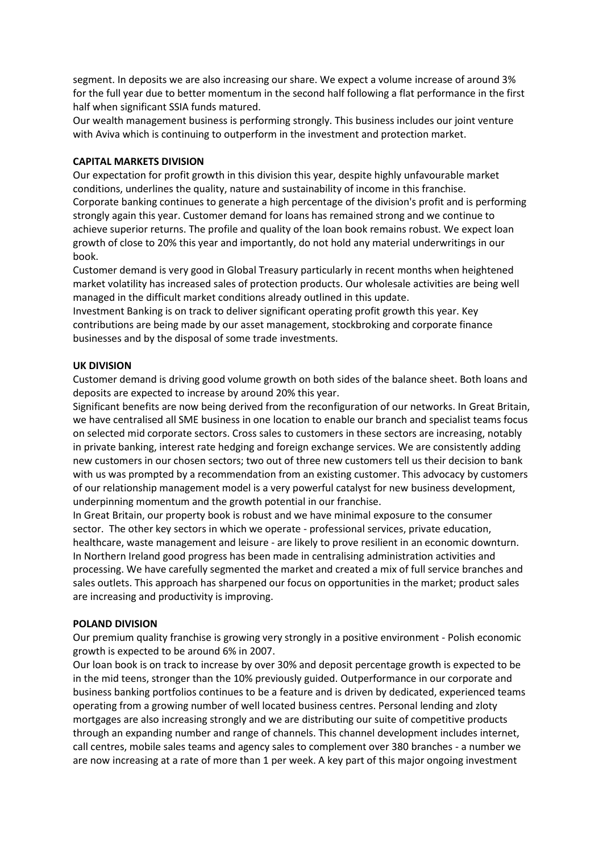segment. In deposits we are also increasing our share. We expect a volume increase of around 3% for the full year due to better momentum in the second half following a flat performance in the first half when significant SSIA funds matured.

Our wealth management business is performing strongly. This business includes our joint venture with Aviva which is continuing to outperform in the investment and protection market.

### **CAPITAL MARKETS DIVISION**

Our expectation for profit growth in this division this year, despite highly unfavourable market conditions, underlines the quality, nature and sustainability of income in this franchise. Corporate banking continues to generate a high percentage of the division's profit and is performing strongly again this year. Customer demand for loans has remained strong and we continue to achieve superior returns. The profile and quality of the loan book remains robust. We expect loan growth of close to 20% this year and importantly, do not hold any material underwritings in our book.

Customer demand is very good in Global Treasury particularly in recent months when heightened market volatility has increased sales of protection products. Our wholesale activities are being well managed in the difficult market conditions already outlined in this update.

Investment Banking is on track to deliver significant operating profit growth this year. Key contributions are being made by our asset management, stockbroking and corporate finance businesses and by the disposal of some trade investments.

### **UK DIVISION**

Customer demand is driving good volume growth on both sides of the balance sheet. Both loans and deposits are expected to increase by around 20% this year.

Significant benefits are now being derived from the reconfiguration of our networks. In Great Britain, we have centralised all SME business in one location to enable our branch and specialist teams focus on selected mid corporate sectors. Cross sales to customers in these sectors are increasing, notably in private banking, interest rate hedging and foreign exchange services. We are consistently adding new customers in our chosen sectors; two out of three new customers tell us their decision to bank with us was prompted by a recommendation from an existing customer. This advocacy by customers of our relationship management model is a very powerful catalyst for new business development, underpinning momentum and the growth potential in our franchise.

In Great Britain, our property book is robust and we have minimal exposure to the consumer sector. The other key sectors in which we operate - professional services, private education, healthcare, waste management and leisure - are likely to prove resilient in an economic downturn. In Northern Ireland good progress has been made in centralising administration activities and processing. We have carefully segmented the market and created a mix of full service branches and sales outlets. This approach has sharpened our focus on opportunities in the market; product sales are increasing and productivity is improving.

### **POLAND DIVISION**

Our premium quality franchise is growing very strongly in a positive environment - Polish economic growth is expected to be around 6% in 2007.

Our loan book is on track to increase by over 30% and deposit percentage growth is expected to be in the mid teens, stronger than the 10% previously guided. Outperformance in our corporate and business banking portfolios continues to be a feature and is driven by dedicated, experienced teams operating from a growing number of well located business centres. Personal lending and zloty mortgages are also increasing strongly and we are distributing our suite of competitive products through an expanding number and range of channels. This channel development includes internet, call centres, mobile sales teams and agency sales to complement over 380 branches - a number we are now increasing at a rate of more than 1 per week. A key part of this major ongoing investment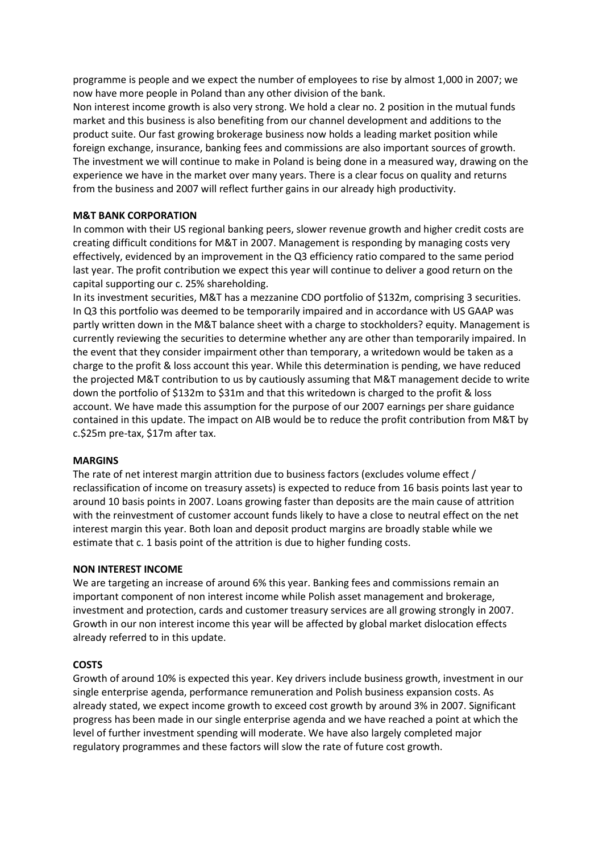programme is people and we expect the number of employees to rise by almost 1,000 in 2007; we now have more people in Poland than any other division of the bank.

Non interest income growth is also very strong. We hold a clear no. 2 position in the mutual funds market and this business is also benefiting from our channel development and additions to the product suite. Our fast growing brokerage business now holds a leading market position while foreign exchange, insurance, banking fees and commissions are also important sources of growth. The investment we will continue to make in Poland is being done in a measured way, drawing on the experience we have in the market over many years. There is a clear focus on quality and returns from the business and 2007 will reflect further gains in our already high productivity.

## **M&T BANK CORPORATION**

In common with their US regional banking peers, slower revenue growth and higher credit costs are creating difficult conditions for M&T in 2007. Management is responding by managing costs very effectively, evidenced by an improvement in the Q3 efficiency ratio compared to the same period last year. The profit contribution we expect this year will continue to deliver a good return on the capital supporting our c. 25% shareholding.

In its investment securities, M&T has a mezzanine CDO portfolio of \$132m, comprising 3 securities. In Q3 this portfolio was deemed to be temporarily impaired and in accordance with US GAAP was partly written down in the M&T balance sheet with a charge to stockholders? equity. Management is currently reviewing the securities to determine whether any are other than temporarily impaired. In the event that they consider impairment other than temporary, a writedown would be taken as a charge to the profit & loss account this year. While this determination is pending, we have reduced the projected M&T contribution to us by cautiously assuming that M&T management decide to write down the portfolio of \$132m to \$31m and that this writedown is charged to the profit & loss account. We have made this assumption for the purpose of our 2007 earnings per share guidance contained in this update. The impact on AIB would be to reduce the profit contribution from M&T by c.\$25m pre-tax, \$17m after tax.

### **MARGINS**

The rate of net interest margin attrition due to business factors (excludes volume effect / reclassification of income on treasury assets) is expected to reduce from 16 basis points last year to around 10 basis points in 2007. Loans growing faster than deposits are the main cause of attrition with the reinvestment of customer account funds likely to have a close to neutral effect on the net interest margin this year. Both loan and deposit product margins are broadly stable while we estimate that c. 1 basis point of the attrition is due to higher funding costs.

### **NON INTEREST INCOME**

We are targeting an increase of around 6% this year. Banking fees and commissions remain an important component of non interest income while Polish asset management and brokerage, investment and protection, cards and customer treasury services are all growing strongly in 2007. Growth in our non interest income this year will be affected by global market dislocation effects already referred to in this update.

### **COSTS**

Growth of around 10% is expected this year. Key drivers include business growth, investment in our single enterprise agenda, performance remuneration and Polish business expansion costs. As already stated, we expect income growth to exceed cost growth by around 3% in 2007. Significant progress has been made in our single enterprise agenda and we have reached a point at which the level of further investment spending will moderate. We have also largely completed major regulatory programmes and these factors will slow the rate of future cost growth.